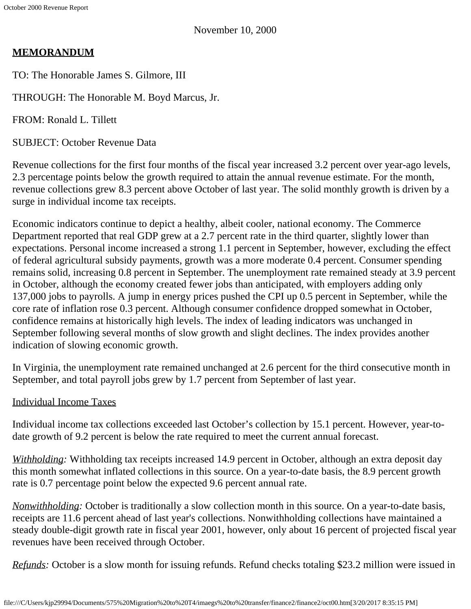November 10, 2000

# **MEMORANDUM**

TO: The Honorable James S. Gilmore, III

THROUGH: The Honorable M. Boyd Marcus, Jr.

FROM: Ronald L. Tillett

SUBJECT: October Revenue Data

Revenue collections for the first four months of the fiscal year increased 3.2 percent over year-ago levels, 2.3 percentage points below the growth required to attain the annual revenue estimate. For the month, revenue collections grew 8.3 percent above October of last year. The solid monthly growth is driven by a surge in individual income tax receipts.

Economic indicators continue to depict a healthy, albeit cooler, national economy. The Commerce Department reported that real GDP grew at a 2.7 percent rate in the third quarter, slightly lower than expectations. Personal income increased a strong 1.1 percent in September, however, excluding the effect of federal agricultural subsidy payments, growth was a more moderate 0.4 percent. Consumer spending remains solid, increasing 0.8 percent in September. The unemployment rate remained steady at 3.9 percent in October, although the economy created fewer jobs than anticipated, with employers adding only 137,000 jobs to payrolls. A jump in energy prices pushed the CPI up 0.5 percent in September, while the core rate of inflation rose 0.3 percent. Although consumer confidence dropped somewhat in October, confidence remains at historically high levels. The index of leading indicators was unchanged in September following several months of slow growth and slight declines. The index provides another indication of slowing economic growth.

In Virginia, the unemployment rate remained unchanged at 2.6 percent for the third consecutive month in September, and total payroll jobs grew by 1.7 percent from September of last year.

## Individual Income Taxes

Individual income tax collections exceeded last October's collection by 15.1 percent. However, year-todate growth of 9.2 percent is below the rate required to meet the current annual forecast.

*Withholding:* Withholding tax receipts increased 14.9 percent in October, although an extra deposit day this month somewhat inflated collections in this source. On a year-to-date basis, the 8.9 percent growth rate is 0.7 percentage point below the expected 9.6 percent annual rate.

*Nonwithholding:* October is traditionally a slow collection month in this source. On a year-to-date basis, receipts are 11.6 percent ahead of last year's collections. Nonwithholding collections have maintained a steady double-digit growth rate in fiscal year 2001, however, only about 16 percent of projected fiscal year revenues have been received through October.

*Refunds*: October is a slow month for issuing refunds. Refund checks totaling \$23.2 million were issued in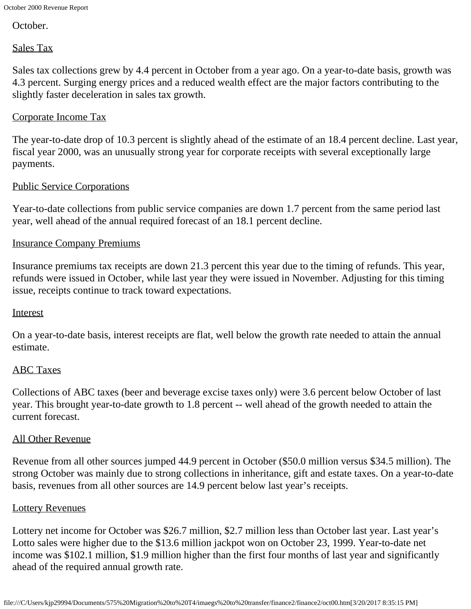October.

## Sales Tax

Sales tax collections grew by 4.4 percent in October from a year ago. On a year-to-date basis, growth was 4.3 percent. Surging energy prices and a reduced wealth effect are the major factors contributing to the slightly faster deceleration in sales tax growth.

## Corporate Income Tax

The year-to-date drop of 10.3 percent is slightly ahead of the estimate of an 18.4 percent decline. Last year, fiscal year 2000, was an unusually strong year for corporate receipts with several exceptionally large payments.

### Public Service Corporations

Year-to-date collections from public service companies are down 1.7 percent from the same period last year, well ahead of the annual required forecast of an 18.1 percent decline.

### Insurance Company Premiums

Insurance premiums tax receipts are down 21.3 percent this year due to the timing of refunds. This year, refunds were issued in October, while last year they were issued in November. Adjusting for this timing issue, receipts continue to track toward expectations.

#### Interest

On a year-to-date basis, interest receipts are flat, well below the growth rate needed to attain the annual estimate.

#### ABC Taxes

Collections of ABC taxes (beer and beverage excise taxes only) were 3.6 percent below October of last year. This brought year-to-date growth to 1.8 percent -- well ahead of the growth needed to attain the current forecast.

#### All Other Revenue

Revenue from all other sources jumped 44.9 percent in October (\$50.0 million versus \$34.5 million). The strong October was mainly due to strong collections in inheritance, gift and estate taxes. On a year-to-date basis, revenues from all other sources are 14.9 percent below last year's receipts.

#### Lottery Revenues

Lottery net income for October was \$26.7 million, \$2.7 million less than October last year. Last year's Lotto sales were higher due to the \$13.6 million jackpot won on October 23, 1999. Year-to-date net income was \$102.1 million, \$1.9 million higher than the first four months of last year and significantly ahead of the required annual growth rate.